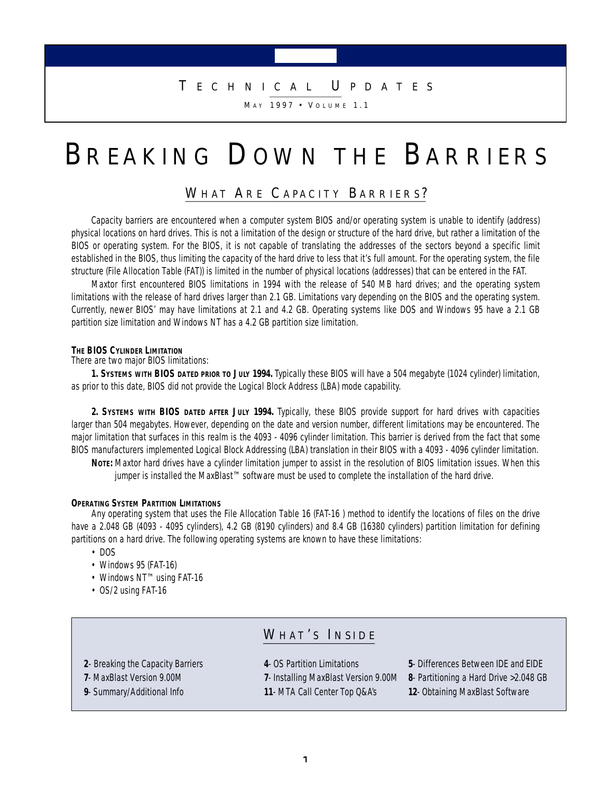### T **E C H N I C A L** U **P D A T E S**

M A Y 1 9 9 7 **•** V **O L U M E** 1 . 1

# B**R E A K I N G** D**OW N T H E** B**A R R I E R S**

### WHAT ARE CAPACITY BARRIERS?

Capacity barriers are encountered when a computer system BIOS and/or operating system is unable to identify (address) physical locations on hard drives. This is not a limitation of the design or structure of the hard drive, but rather a limitation of the BIOS or operating system. For the BIOS, it is not capable of translating the addresses of the sectors beyond a specific limit established in the BIOS, thus limiting the capacity of the hard drive to less that it's full amount. For the operating system, the file structure (File Allocation Table (FAT)) is limited in the number of physical locations (addresses) that can be entered in the FAT.

Maxtor first encountered BIOS limitations in 1994 with the release of 540 MB hard drives; and the operating system limitations with the release of hard drives larger than 2.1 GB. Limitations vary depending on the BIOS and the operating system. Currently, newer BIOS' may have limitations at 2.1 and 4.2 GB. Operating systems like DOS and Windows 95 have a 2.1 GB partition size limitation and Windows NT has a 4.2 GB partition size limitation.

#### **THE BIOS CYLINDER LIMITATION**

There are two major BIOS limitations:

**1. SYSTEMS WITH BIOS DATED PRIOR TO JULY 1994.** Typically these BIOS will have a 504 megabyte (1024 cylinder) limitation, as prior to this date, BIOS did not provide the Logical Block Address (LBA) mode capability.

**2. SYSTEMS WITH BIOS DATED AFTER JULY 1994.** Typically, these BIOS provide support for hard drives with capacities larger than 504 megabytes. However, depending on the date and version number, different limitations may be encountered. The major limitation that surfaces in this realm is the 4093 - 4096 cylinder limitation. This barrier is derived from the fact that some BIOS manufacturers implemented Logical Block Addressing (LBA) translation in their BIOS with a 4093 - 4096 cylinder limitation.

**NOTE:** Maxtor hard drives have a cylinder limitation jumper to assist in the resolution of BIOS limitation issues. When this jumper is installed the MaxBlast™ software must be used to complete the installation of the hard drive.

#### **OPERATING SYSTEM PARTITION LIMITATIONS**

Any operating system that uses the File Allocation Table 16 (FAT-16 ) method to identify the locations of files on the drive have a 2.048 GB (4093 - 4095 cylinders), 4.2 GB (8190 cylinders) and 8.4 GB (16380 cylinders) partition limitation for defining partitions on a hard drive. The following operating systems are known to have these limitations:

- DOS
- Windows 95 (FAT-16)
- Windows NT™ using FAT-16
- OS/2 using FAT-16

### WH AT ' S I **N S I D E**

- **2** Breaking the Capacity Barriers **4** OS Partition Limitations **5** Differences Between IDE and EIDE
- **7** MaxBlast Version 9.00M **7** Installing MaxBlast Version 9.00M **8** Partitioning a Hard Drive >2.048 GB
- **9** Summary/Additional Info **11** MTA Call Center Top Q&A's **12** Obtaining MaxBlast Software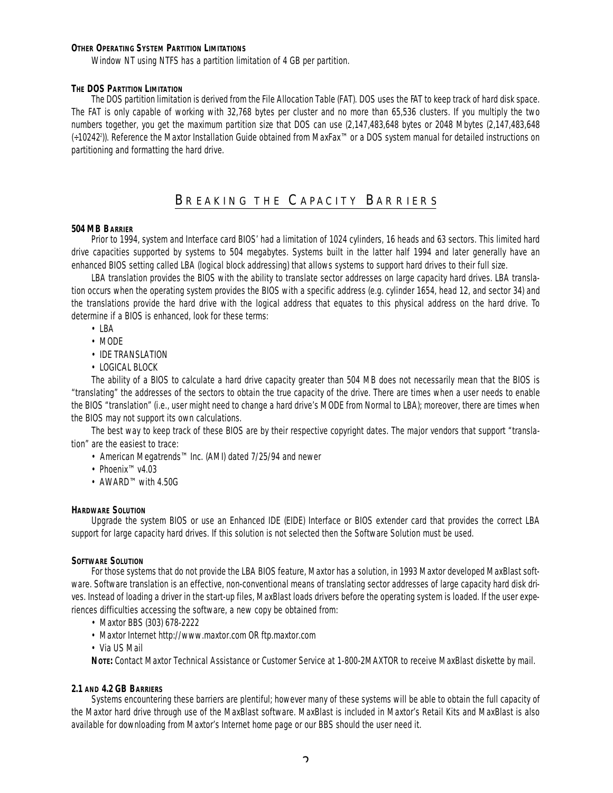#### **OTHER OPERATING SYSTEM PARTITION LIMITATIONS**

Window NT using NTFS has a partition limitation of 4 GB per partition.

#### **THE DOS PARTITION LIMITATION**

The DOS partition limitation is derived from the File Allocation Table (FAT). DOS uses the FAT to keep track of hard disk space. The FAT is only capable of working with 32,768 bytes per cluster and no more than 65,536 clusters. If you multiply the two numbers together, you get the maximum partition size that DOS can use (2,147,483,648 bytes or 2048 Mbytes (2,147,483,648 (÷10242<sup>2</sup> )). Reference the Maxtor Installation Guide obtained from MaxFax™ or a DOS system manual for detailed instructions on partitioning and formatting the hard drive.

### BREAKING THE CAPACITY BARRIERS

#### **504 MB BARRIER**

Prior to 1994, system and Interface card BIOS' had a limitation of 1024 cylinders, 16 heads and 63 sectors. This limited hard drive capacities supported by systems to 504 megabytes. Systems built in the latter half 1994 and later generally have an enhanced BIOS setting called LBA (logical block addressing) that allows systems to support hard drives to their full size.

LBA translation provides the BIOS with the ability to translate sector addresses on large capacity hard drives. LBA translation occurs when the operating system provides the BIOS with a specific address (e.g. cylinder 1654, head 12, and sector 34) and the translations provide the hard drive with the logical address that equates to this physical address on the hard drive. To determine if a BIOS is enhanced, look for these terms:

- LBA
- MODE
- IDE TRANSLATION
- LOGICAL BLOCK

The ability of a BIOS to calculate a hard drive capacity greater than 504 MB does not necessarily mean that the BIOS is "translating" the addresses of the sectors to obtain the true capacity of the drive. There are times when a user needs to enable the BIOS "translation" (i.e., user might need to change a hard drive's MODE from Normal to LBA); moreover, there are times when the BIOS may not support its own calculations.

The best way to keep track of these BIOS are by their respective copyright dates. The major vendors that support "translation" are the easiest to trace:

- American Megatrends™ Inc. (AMI) dated 7/25/94 and newer
- Phoenix™ v4.03
- AWARD™ with 4.50G

#### **HARDWARE SOLUTION**

Upgrade the system BIOS or use an Enhanced IDE (EIDE) Interface or BIOS extender card that provides the correct LBA support for large capacity hard drives. If this solution is not selected then the Software Solution must be used.

#### **SOFTWARE SOLUTION**

For those systems that do not provide the LBA BIOS feature, Maxtor has a solution, in 1993 Maxtor developed MaxBlast software. Software translation is an effective, non-conventional means of translating sector addresses of large capacity hard disk drives. Instead of loading a driver in the start-up files, MaxBlast loads drivers before the operating system is loaded. If the user experiences difficulties accessing the software, a new copy be obtained from:

- Maxtor BBS (303) 678-2222
- Maxtor Internet http://www.maxtor.com OR ftp.maxtor.com
- Via US Mail

**NOTE:** Contact Maxtor Technical Assistance or Customer Service at 1-800-2MAXTOR to receive MaxBlast diskette by mail.

#### **2.1 AND 4.2 GB BARRIERS**

Systems encountering these barriers are plentiful; however many of these systems will be able to obtain the full capacity of the Maxtor hard drive through use of the MaxBlast software. MaxBlast is included in Maxtor's Retail Kits and MaxBlast is also available for downloading from Maxtor's Internet home page or our BBS should the user need it.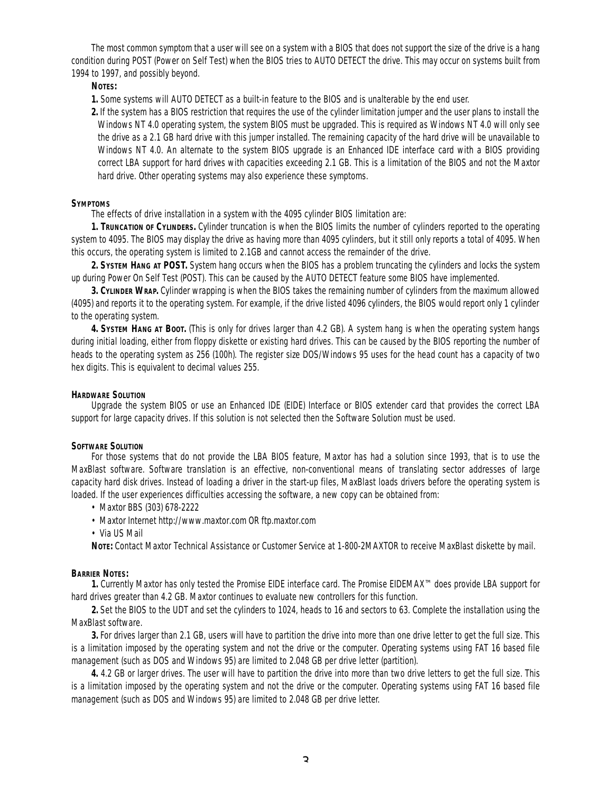The most common symptom that a user will see on a system with a BIOS that does not support the size of the drive is a hang condition during POST (Power on Self Test) when the BIOS tries to AUTO DETECT the drive. This may occur on systems built from 1994 to 1997, and possibly beyond.

#### **NOTES:**

**1.** Some systems will AUTO DETECT as a built-in feature to the BIOS and is unalterable by the end user.

**2.** If the system has a BIOS restriction that requires the use of the cylinder limitation jumper and the user plans to install the Windows NT 4.0 operating system, the system BIOS must be upgraded. This is required as Windows NT 4.0 will only see the drive as a 2.1 GB hard drive with this jumper installed. The remaining capacity of the hard drive will be unavailable to Windows NT 4.0. An alternate to the system BIOS upgrade is an Enhanced IDE interface card with a BIOS providing correct LBA support for hard drives with capacities exceeding 2.1 GB. This is a limitation of the BIOS and not the Maxtor hard drive. Other operating systems may also experience these symptoms.

#### **SYMPTOMS**

The effects of drive installation in a system with the 4095 cylinder BIOS limitation are:

**1. TRUNCATION OF CYLINDERS.** Cylinder truncation is when the BIOS limits the number of cylinders reported to the operating system to 4095. The BIOS may display the drive as having more than 4095 cylinders, but it still only reports a total of 4095. When this occurs, the operating system is limited to 2.1GB and cannot access the remainder of the drive.

**2. SYSTEM HANG AT POST.** System hang occurs when the BIOS has a problem truncating the cylinders and locks the system up during Power On Self Test (POST). This can be caused by the AUTO DETECT feature some BIOS have implemented.

**3. CYLINDER WRAP.** Cylinder wrapping is when the BIOS takes the remaining number of cylinders from the maximum allowed (4095) and reports it to the operating system. For example, if the drive listed 4096 cylinders, the BIOS would report only 1 cylinder to the operating system.

**4. SYSTEM HANG AT BOOT.** (This is only for drives larger than 4.2 GB). A system hang is when the operating system hangs during initial loading, either from floppy diskette or existing hard drives. This can be caused by the BIOS reporting the number of heads to the operating system as 256 (100h). The register size DOS/Windows 95 uses for the head count has a capacity of two hex digits. This is equivalent to decimal values 255.

#### **HARDWARE SOLUTION**

Upgrade the system BIOS or use an Enhanced IDE (EIDE) Interface or BIOS extender card that provides the correct LBA support for large capacity drives. If this solution is not selected then the Software Solution must be used.

#### **SOFTWARE SOLUTION**

For those systems that do not provide the LBA BIOS feature, Maxtor has had a solution since 1993, that is to use the MaxBlast software. Software translation is an effective, non-conventional means of translating sector addresses of large capacity hard disk drives. Instead of loading a driver in the start-up files, MaxBlast loads drivers before the operating system is loaded. If the user experiences difficulties accessing the software, a new copy can be obtained from:

- Maxtor BBS (303) 678-2222
- Maxtor Internet http://www.maxtor.com OR ftp.maxtor.com
- Via US Mail

**NOTE:** Contact Maxtor Technical Assistance or Customer Service at 1-800-2MAXTOR to receive MaxBlast diskette by mail.

#### **BARRIER NOTES:**

**1.** Currently Maxtor has only tested the Promise EIDE interface card. The Promise EIDEMAX™ does provide LBA support for hard drives greater than 4.2 GB. Maxtor continues to evaluate new controllers for this function.

**2.** Set the BIOS to the UDT and set the cylinders to 1024, heads to 16 and sectors to 63. Complete the installation using the MaxBlast software.

**3.** For drives larger than 2.1 GB, users will have to partition the drive into more than one drive letter to get the full size. This is a limitation imposed by the operating system and not the drive or the computer. Operating systems using FAT 16 based file management (such as DOS and Windows 95) are limited to 2.048 GB per drive letter (partition).

**4.** 4.2 GB or larger drives. The user will have to partition the drive into more than two drive letters to get the full size. This is a limitation imposed by the operating system and not the drive or the computer. Operating systems using FAT 16 based file management (such as DOS and Windows 95) are limited to 2.048 GB per drive letter.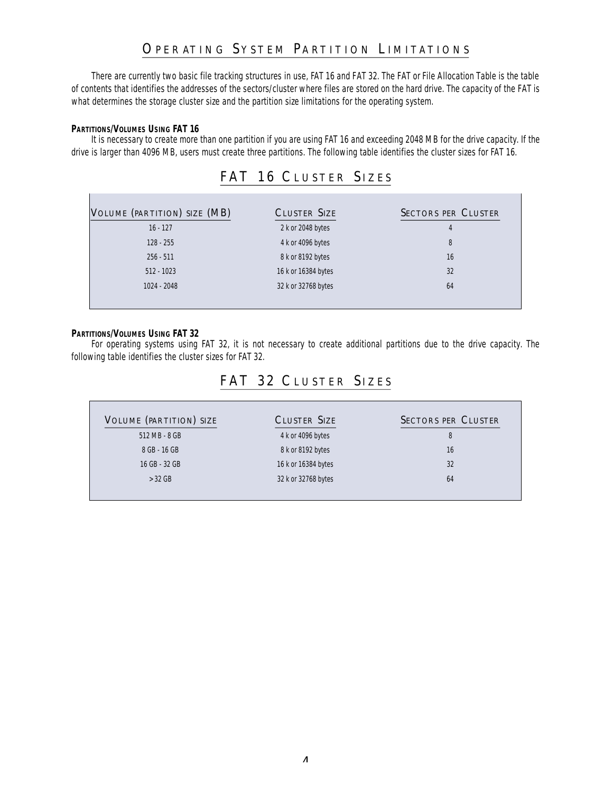### OPERATING SYSTEM PARTITION LIMITATIONS

There are currently two basic file tracking structures in use, FAT 16 and FAT 32. The FAT or File Allocation Table is the table of contents that identifies the addresses of the sectors/cluster where files are stored on the hard drive. The capacity of the FAT is what determines the storage cluster size and the partition size limitations for the operating system.

#### **PARTITIONS/VOLUMES USING FAT 16**

It is necessary to create more than one partition if you are using FAT 16 and exceeding 2048 MB for the drive capacity. If the drive is larger than 4096 MB, users must create three partitions. The following table identifies the cluster sizes for FAT 16.

### FAT 16 CLUSTER SIZES

| VOLUME (PARTITION) SIZE (MB) | <b>CLUSTER SIZE</b> | <b>SECTORS PER CLUSTER</b> |
|------------------------------|---------------------|----------------------------|
| $16 - 127$                   | 2 k or 2048 bytes   | 4                          |
| $128 - 255$                  | 4 k or 4096 bytes   | 8                          |
| $256 - 511$                  | 8 k or 8192 bytes   | 16                         |
| $512 - 1023$                 | 16 k or 16384 bytes | 32                         |
| 1024 - 2048                  | 32 k or 32768 bytes | 64                         |
|                              |                     |                            |

#### **PARTITIONS/VOLUMES USING FAT 32**

For operating systems using FAT 32, it is not necessary to create additional partitions due to the drive capacity. The following table identifies the cluster sizes for FAT 32.

### FAT 32 CLUSTER SIZES

| VOLUME (PARTITION) SIZE | <b>CLUSTER SIZE</b> | <b>SECTORS PER CLUSTER</b> |
|-------------------------|---------------------|----------------------------|
| 512 MB - 8 GB           | 4 k or 4096 bytes   | 8                          |
| 8 GB - 16 GB            | 8 k or 8192 bytes   | 16                         |
| 16 GB - 32 GB           | 16 k or 16384 bytes | 32                         |
| $>$ 32 GB               | 32 k or 32768 bytes | 64                         |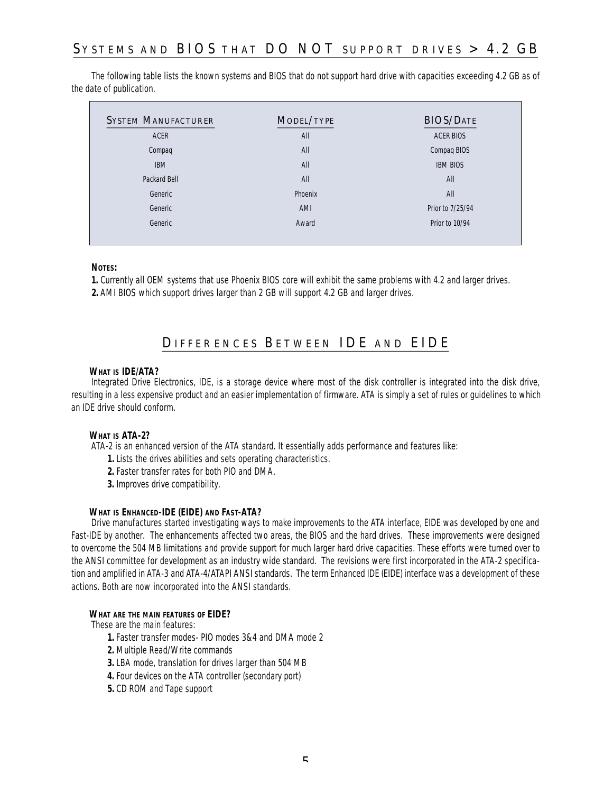## SYSTEMS AND BIOS THAT DO NOT SUPPORT DRIVES  $> 4.2$  GB

The following table lists the known systems and BIOS that do not support hard drive with capacities exceeding 4.2 GB as of the date of publication.

| <b>SYSTEM MANUFACTURER</b> | MODEL/TYPE | <b>BIOS/DATE</b> |
|----------------------------|------------|------------------|
| <b>ACER</b>                | All        | <b>ACER BIOS</b> |
| Compaq                     | All        | Compaq BIOS      |
| <b>IBM</b>                 | All        | <b>IBM BIOS</b>  |
| Packard Bell               | All        | All              |
| Generic                    | Phoenix    | All              |
| Generic                    | AMI        | Prior to 7/25/94 |
| Generic                    | Award      | Prior to 10/94   |

#### **NOTES:**

**1.** Currently all OEM systems that use Phoenix BIOS core will exhibit the same problems with 4.2 and larger drives.

**2.** AMI BIOS which support drives larger than 2 GB will support 4.2 GB and larger drives.

### DIFFERENCES BETWEEN IDE AND EIDE

#### **WHAT IS IDE/ATA?**

Integrated Drive Electronics, IDE, is a storage device where most of the disk controller is integrated into the disk drive, resulting in a less expensive product and an easier implementation of firmware. ATA is simply a set of rules or guidelines to which an IDE drive should conform.

#### **WHAT IS ATA-2?**

ATA-2 is an enhanced version of the ATA standard. It essentially adds performance and features like:

- **1.** Lists the drives abilities and sets operating characteristics.
- **2.** Faster transfer rates for both PIO and DMA.
- **3.** Improves drive compatibility.

#### **WHAT IS ENHANCED-IDE (EIDE) AND FAST-ATA?**

Drive manufactures started investigating ways to make improvements to the ATA interface, EIDE was developed by one and Fast-IDE by another. The enhancements affected two areas, the BIOS and the hard drives. These improvements were designed to overcome the 504 MB limitations and provide support for much larger hard drive capacities. These efforts were turned over to the ANSI committee for development as an industry wide standard. The revisions were first incorporated in the ATA-2 specification and amplified in ATA-3 and ATA-4/ATAPI ANSI standards. The term Enhanced IDE (EIDE) interface was a development of these actions. Both are now incorporated into the ANSI standards.

#### **WHAT ARE THE MAIN FEATURES OF EIDE?**

These are the main features:

- **1.** Faster transfer modes- PIO modes 3&4 and DMA mode 2
- **2.** Multiple Read/Write commands
- **3.** LBA mode, translation for drives larger than 504 MB
- **4.** Four devices on the ATA controller (secondary port)
- **5.** CD ROM and Tape support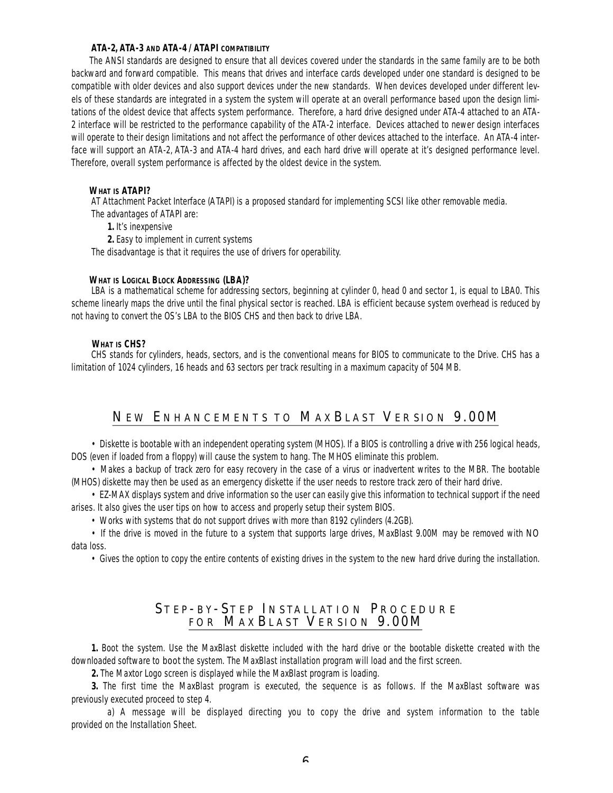#### **ATA-2, ATA-3 AND ATA-4 / ATAPI COMPATIBILITY**

The ANSI standards are designed to ensure that all devices covered under the standards in the same family are to be both backward and forward compatible. This means that drives and interface cards developed under one standard is designed to be compatible with older devices and also support devices under the new standards. When devices developed under different levels of these standards are integrated in a system the system will operate at an overall performance based upon the design limitations of the oldest device that affects system performance. Therefore, a hard drive designed under ATA-4 attached to an ATA-2 interface will be restricted to the performance capability of the ATA-2 interface. Devices attached to newer design interfaces will operate to their design limitations and not affect the performance of other devices attached to the interface. An ATA-4 interface will support an ATA-2, ATA-3 and ATA-4 hard drives, and each hard drive will operate at it's designed performance level. Therefore, overall system performance is affected by the oldest device in the system.

#### **WHAT IS ATAPI?**

AT Attachment Packet Interface (ATAPI) is a proposed standard for implementing SCSI like other removable media. The advantages of ATAPI are:

**1.** It's inexpensive

**2.** Easy to implement in current systems

The disadvantage is that it requires the use of drivers for operability.

#### **WHAT IS LOGICAL BLOCK ADDRESSING (LBA)?**

LBA is a mathematical scheme for addressing sectors, beginning at cylinder 0, head 0 and sector 1, is equal to LBA0. This scheme linearly maps the drive until the final physical sector is reached. LBA is efficient because system overhead is reduced by not having to convert the OS's LBA to the BIOS CHS and then back to drive LBA.

#### **WHAT IS CHS?**

CHS stands for cylinders, heads, sectors, and is the conventional means for BIOS to communicate to the Drive. CHS has a limitation of 1024 cylinders, 16 heads and 63 sectors per track resulting in a maximum capacity of 504 MB.

### NEW ENHANCEMENTS TO MAXBLAST VERSION 9.00M

• Diskette is bootable with an independent operating system (MHOS). If a BIOS is controlling a drive with 256 logical heads, DOS (even if loaded from a floppy) will cause the system to hang. The MHOS eliminate this problem.

• Makes a backup of track zero for easy recovery in the case of a virus or inadvertent writes to the MBR. The bootable (MHOS) diskette may then be used as an emergency diskette if the user needs to restore track zero of their hard drive.

• EZ-MAX displays system and drive information so the user can easily give this information to technical support if the need arises. It also gives the user tips on how to access and properly setup their system BIOS.

• Works with systems that do not support drives with more than 8192 cylinders (4.2GB).

• If the drive is moved in the future to a system that supports large drives, MaxBlast 9.00M may be removed with *NO*  data loss.

• Gives the option to copy the entire contents of existing drives in the system to the new hard drive during the installation.

### STEP-BY-STEP INSTALLATION PROCEDURE FOR MAXBLAST VERSION  $9.00\rm{M}$

**1.** Boot the system. Use the MaxBlast diskette included with the hard drive or the bootable diskette created with the downloaded software to *boot* the system. The MaxBlast installation program will load and the first screen.

**2.** The Maxtor Logo screen is displayed while the MaxBlast program is loading.

**3.** The first time the MaxBlast program is executed, the sequence is as follows. If the MaxBlast software was previously executed proceed to step 4.

a) A message will be displayed directing you to copy the drive and system information to the table provided on the Installation Sheet.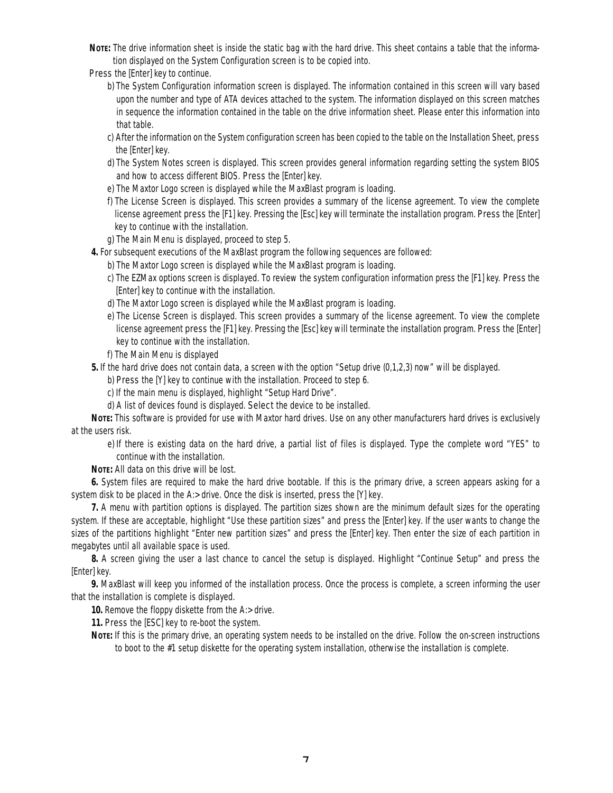- **NOTE:** The drive information sheet is inside the static bag with the hard drive. This sheet contains a table that the information displayed on the System Configuration screen is to be copied into.
- *Press* the [Enter] key to continue.
	- b) The System Configuration information screen is displayed. The information contained in this screen will vary based upon the number and type of ATA devices attached to the system. The information displayed on this screen matches in sequence the information contained in the table on the drive information sheet. Please enter this information into that table.
	- c) After the information on the System configuration screen has been copied to the table on the Installation Sheet, *press* the [Enter] key.
	- d) The System Notes screen is displayed. This screen provides general information regarding setting the system BIOS and how to access different BIOS. *Press* the [Enter] key.
	- e) The Maxtor Logo screen is displayed while the MaxBlast program is loading.
	- f) The License Screen is displayed. This screen provides a summary of the license agreement. To view the complete license agreement *press* the [F1] key. Pressing the [Esc] key will terminate the installation program. *Press* the [Enter] key to continue with the installation.
	- g) The Main Menu is displayed, proceed to step 5.
- **4.** For subsequent executions of the MaxBlast program the following sequences are followed:
	- b) The Maxtor Logo screen is displayed while the MaxBlast program is loading.
	- c) The EZMax options screen is displayed. To review the system configuration information press the [F1] key. *Press* the [Enter] key to continue with the installation.
	- d) The Maxtor Logo screen is displayed while the MaxBlast program is loading.
	- e) The License Screen is displayed. This screen provides a summary of the license agreement. To view the complete license agreement *press* the [F1] key. Pressing the [Esc] key will terminate the installation program. *Press* the [Enter] key to continue with the installation.
	- f) The Main Menu is displayed
- **5.** If the hard drive does not contain data, a screen with the option "Setup drive  $(0,1,2,3)$  now" will be displayed.
	- b) *Press* the [Y] key to continue with the installation. Proceed to step 6.
	- c) If the main menu is displayed, *highlight* "Setup Hard Drive".
	- d) A list of devices found is displayed. *Select* the device to be installed.

**NOTE:** This software is provided for use with Maxtor hard drives. Use on any other manufacturers hard drives is exclusively at the users risk.

e) If there is existing data on the hard drive, a partial list of files is displayed. *Type* the complete word "YES" to continue with the installation.

**NOTE:** All data on this drive will be lost.

**6.** System files are required to make the hard drive bootable. If this is the primary drive, a screen appears asking for a system disk to be placed in the A:> drive. Once the disk is inserted, *press* the [Y] key.

**7.** A menu with partition options is displayed. The partition sizes shown are the minimum default sizes for the operating system. If these are acceptable, *highlight* "Use these partition sizes" and *press* the [Enter] key. If the user wants to change the sizes of the partitions *highlight* "Enter new partition sizes" and *press* the [Enter] key. Then *enter* the size of each partition in megabytes until all available space is used.

**8.** A screen giving the user a last chance to cancel the setup is displayed. *Highlight* "Continue Setup" and *press* the [Enter] key.

**9.** MaxBlast will keep you informed of the installation process. Once the process is complete, a screen informing the user that the installation is complete is displayed.

**10.** Remove the floppy diskette from the A:> drive.

**11.** *Press* the [ESC] key to re-boot the system.

**NOTE:** If this is the primary drive, an operating system needs to be installed on the drive. Follow the on-screen instructions to boot to the #1 setup diskette for the operating system installation, otherwise the installation is complete.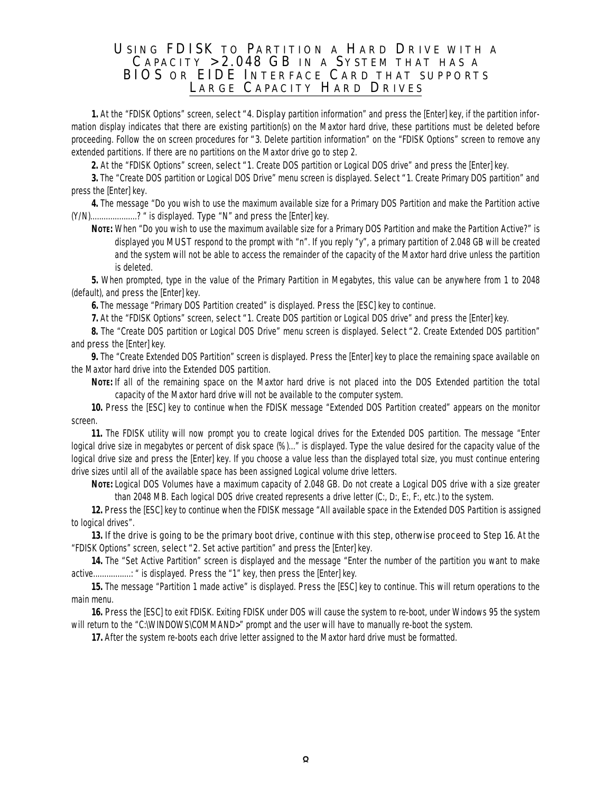#### USING FDISK TO PARTITION A HARD DRIVE WITH A CAPACITY  $>2.048$  GB IN A SYSTEM THAT HAS A BIOS OR EIDE INTERFACE CARD THAT SUPPORTS LARGE CAPACITY HARD DRIVES

**1.** At the "FDISK Options" screen, *select "4*. *Display* partition information" and *press* the [Enter] key, if the partition information display indicates that there are existing partition(s) on the Maxtor hard drive, these partitions must be deleted before proceeding. Follow the on screen procedures for *"3*. Delete partition information" on the "FDISK Options" screen to remove any extended partitions. If there are no partitions on the Maxtor drive go to step 2.

**2.** At the "FDISK Options" screen, *select "1*. Create DOS partition or Logical DOS drive" and *press* the [Enter] key.

**3.** The "Create DOS partition or Logical DOS Drive" menu screen is displayed. *Select "1*. Create Primary DOS partition" and press the [Enter] key.

**4.** The message "Do you wish to use the maximum available size for a Primary DOS Partition and make the Partition active (Y/N).....................? " is displayed. *Type* "N" and *press* the [Enter] key.

**NOTE:** When "Do you wish to use the maximum available size for a Primary DOS Partition and make the Partition Active?" is displayed you *MUST* respond to the prompt with "n". If you reply "y", a primary partition of 2.048 GB will be created and the system will not be able to access the remainder of the capacity of the Maxtor hard drive unless the partition is deleted.

**5.** When prompted, type in the value of the Primary Partition in Megabytes, this value can be anywhere from 1 to 2048 (default), and *press* the [Enter] key.

**6.** The message "Primary DOS Partition created" is displayed. *Press* the [ESC] key to continue.

**7.** At the "FDISK Options" screen, *select "1*. Create DOS partition or Logical DOS drive" and *press* the [Enter] key.

**8.** The "Create DOS partition or Logical DOS Drive" menu screen is displayed. *Select "2*. Create Extended DOS partition" and *press* the [Enter] key.

**9.** The "Create Extended DOS Partition" screen is displayed. *Press* the [Enter] key to place the remaining space available on the Maxtor hard drive into the Extended DOS partition.

**NOTE:** If all of the remaining space on the Maxtor hard drive is not placed into the DOS Extended partition the total capacity of the Maxtor hard drive will not be available to the computer system.

**10.** *Press* the [ESC] key to continue when the FDISK message "Extended DOS Partition created" appears on the monitor screen.

**11.** The FDISK utility will now prompt you to create logical drives for the Extended DOS partition. The message "Enter logical drive size in megabytes or percent of disk space (%)..." is displayed. *Type* the value desired for the capacity value of the logical drive size and *press* the [Enter] key. If you choose a value less than the displayed total size, you must continue entering drive sizes until all of the available space has been assigned Logical volume drive letters.

**NOTE:** Logical DOS Volumes have a maximum capacity of 2.048 GB. Do not create a Logical DOS drive with a size greater than 2048 MB. Each logical DOS drive created represents a drive letter (C:, D:, E:, F:, etc.) to the system.

**12.** *Press* the [ESC] key to continue when the FDISK message "All available space in the Extended DOS Partition is assigned to logical drives".

**13.** *If the drive is going to be the primary boot drive, continue with this step, otherwise proceed to Step 16.* At the "FDISK Options" screen, *select "2*. Set active partition" and *press* the [Enter] key.

**14.** The "Set Active Partition" screen is displayed and the message "Enter the number of the partition you want to make active.................: " is displayed. *Press* the "1" key, then *press* the [Enter] key.

**15.** The message "Partition 1 made active" is displayed. *Press* the [ESC] key to continue. This will return operations to the main menu.

**16.** *Press* the [ESC] to exit FDISK. Exiting FDISK under DOS will cause the system to re-boot, under Windows 95 the system will return to the "C:\WINDOWS\COMMAND>" prompt and the user will have to manually re-boot the system.

**17.** After the system re-boots each drive letter assigned to the Maxtor hard drive must be formatted.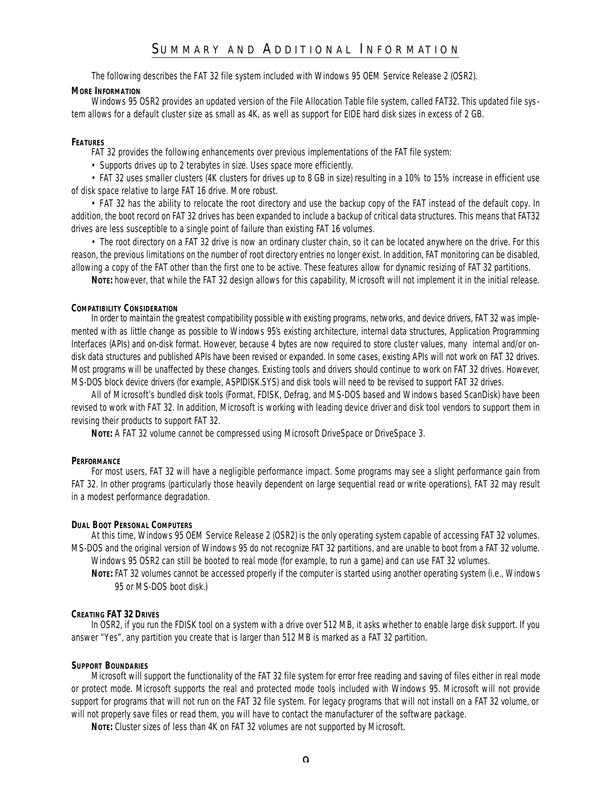### SUMMARY AND ADDITIONAL INFORMATION

The following describes the FAT 32 file system included with Windows 95 OEM Service Release 2 (OSR2).

#### **MORE INFORMATION**

Windows 95 OSR2 provides an updated version of the File Allocation Table file system, called FAT32. This updated file system allows for a default cluster size as small as 4K, as well as support for EIDE hard disk sizes in excess of 2 GB.

#### **FEATURES**

FAT 32 provides the following enhancements over previous implementations of the FAT file system:

• Supports drives up to 2 terabytes in size. Uses space more efficiently.

• FAT 32 uses smaller clusters (4K clusters for drives up to 8 GB in size) resulting in a 10% to 15% increase in efficient use of disk space relative to large FAT 16 drive. More robust.

• FAT 32 has the ability to relocate the root directory and use the backup copy of the FAT instead of the default copy. In addition, the boot record on FAT 32 drives has been expanded to include a backup of critical data structures. This means that FAT32 drives are less susceptible to a single point of failure than existing FAT 16 volumes.

• The root directory on a FAT 32 drive is now an ordinary cluster chain, so it can be located anywhere on the drive. For this reason, the previous limitations on the number of root directory entries no longer exist. In addition, FAT monitoring can be disabled, allowing a copy of the FAT other than the first one to be active. These features allow for dynamic resizing of FAT 32 partitions.

**NOTE:** however, that while the FAT 32 design allows for this capability, Microsoft will not implement it in the initial release.

#### **COMPATIBILITY CONSIDERATION**

In order to maintain the greatest compatibility possible with existing programs, networks, and device drivers, FAT 32 was implemented with as little change as possible to Windows 95's existing architecture, internal data structures, Application Programming Interfaces (APIs) and on-disk format. However, because 4 bytes are now required to store cluster values, many internal and/or ondisk data structures and published APIs have been revised or expanded. In some cases, existing APIs will not work on FAT 32 drives. Most programs will be unaffected by these changes. Existing tools and drivers should continue to work on FAT 32 drives. However, MS-DOS block device drivers (for example, ASPIDISK.SYS) and disk tools will need to be revised to support FAT 32 drives.

All of Microsoft's bundled disk tools (Format, FDISK, Defrag, and MS-DOS based and Windows based ScanDisk) have been revised to work with FAT 32. In addition, Microsoft is working with leading device driver and disk tool vendors to support them in revising their products to support FAT 32.

**NOTE:** A FAT 32 volume cannot be compressed using Microsoft DriveSpace or DriveSpace 3.

#### **PERFORMANCE**

For most users, FAT 32 will have a negligible performance impact. Some programs may see a slight performance gain from FAT 32. In other programs (particularly those heavily dependent on large sequential read or write operations), FAT 32 may result in a modest performance degradation.

#### **DUAL BOOT PERSONAL COMPUTERS**

At this time, Windows 95 OEM Service Release 2 (OSR2) is the only operating system capable of accessing FAT 32 volumes. MS-DOS and the original version of Windows 95 do not recognize FAT 32 partitions, and are unable to boot from a FAT 32 volume. Windows 95 OSR2 can still be booted to real mode (for example, to run a game) and can use FAT 32 volumes.

**NOTE:** FAT 32 volumes cannot be accessed properly if the computer is started using another operating system (i.e., Windows 95 or MS-DOS boot disk.)

#### **CREATING FAT 32 DRIVES**

In OSR2, if you run the FDISK tool on a system with a drive over 512 MB, it asks whether to enable large disk support. If you answer "Yes", any partition you create that is larger than 512 MB is marked as a FAT 32 partition.

#### **SUPPORT BOUNDARIES**

Microsoft will support the functionality of the FAT 32 file system for error free reading and saving of files either in real mode or protect mode. Microsoft supports the real and protected mode tools included with Windows 95. Microsoft will not provide support for programs that will not run on the FAT 32 file system. For legacy programs that will not install on a FAT 32 volume, or will not properly save files or read them, you will have to contact the manufacturer of the software package.

**NOTE:** Cluster sizes of less than 4K on FAT 32 volumes are not supported by Microsoft.